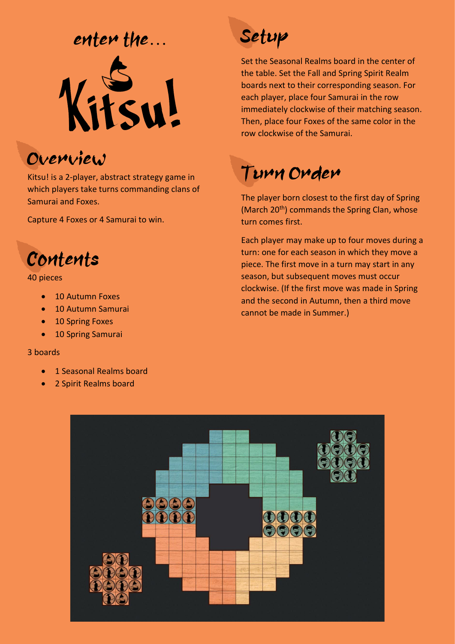### enter the…



### Overview

Kitsu! is a 2-player, abstract strategy game in which players take turns commanding clans of Samurai and Foxes.

Capture 4 Foxes or 4 Samurai to win.



#### 40 pieces

- 10 Autumn Foxes
- 10 Autumn Samurai
- 10 Spring Foxes
- 10 Spring Samurai

#### 3 boards

- 1 Seasonal Realms board
- 2 Spirit Realms board



Set the Seasonal Realms board in the center of the table. Set the Fall and Spring Spirit Realm boards next to their corresponding season. For each player, place four Samurai in the row immediately clockwise of their matching season. Then, place four Foxes of the same color in the row clockwise of the Samurai.

### Turn Order

The player born closest to the first day of Spring (March 20<sup>th</sup>) commands the Spring Clan, whose turn comes first.

Each player may make up to four moves during a turn: one for each season in which they move a piece. The first move in a turn may start in any season, but subsequent moves must occur clockwise. (If the first move was made in Spring and the second in Autumn, then a third move cannot be made in Summer.)